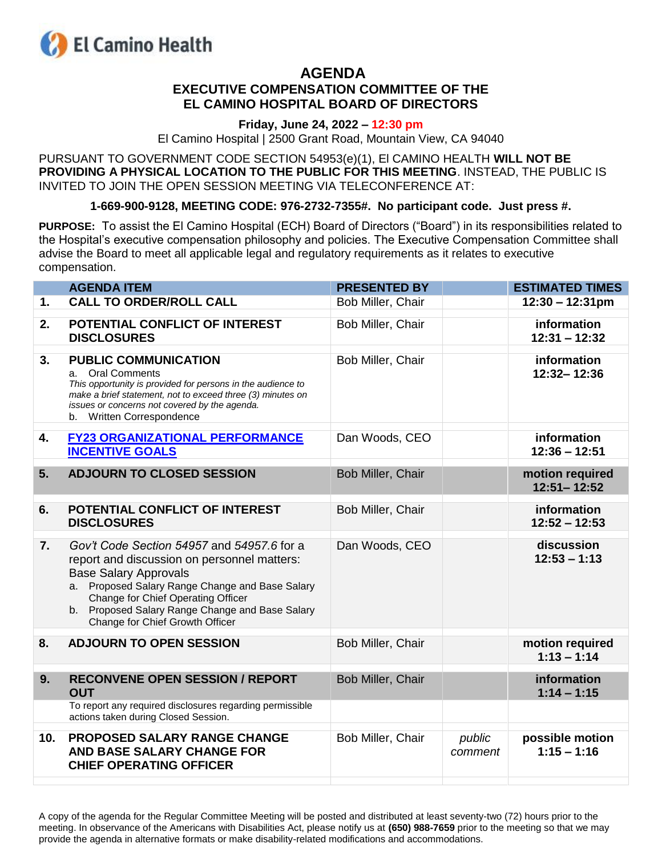

# **AGENDA EXECUTIVE COMPENSATION COMMITTEE OF THE EL CAMINO HOSPITAL BOARD OF DIRECTORS**

## **Friday, June 24, 2022 – 12:30 pm**

El Camino Hospital | 2500 Grant Road, Mountain View, CA 94040

PURSUANT TO GOVERNMENT CODE SECTION 54953(e)(1), El CAMINO HEALTH **WILL NOT BE PROVIDING A PHYSICAL LOCATION TO THE PUBLIC FOR THIS MEETING**. INSTEAD, THE PUBLIC IS INVITED TO JOIN THE OPEN SESSION MEETING VIA TELECONFERENCE AT:

**1-669-900-9128, MEETING CODE: 976-2732-7355#. No participant code. Just press #.**

**PURPOSE:** To assist the El Camino Hospital (ECH) Board of Directors ("Board") in its responsibilities related to the Hospital's executive compensation philosophy and policies. The Executive Compensation Committee shall advise the Board to meet all applicable legal and regulatory requirements as it relates to executive compensation.

|                | <b>AGENDA ITEM</b>                                                                                                                                                                                                                                                                                       | <b>PRESENTED BY</b> |                   | <b>ESTIMATED TIMES</b>             |
|----------------|----------------------------------------------------------------------------------------------------------------------------------------------------------------------------------------------------------------------------------------------------------------------------------------------------------|---------------------|-------------------|------------------------------------|
| $\mathbf{1}$ . | <b>CALL TO ORDER/ROLL CALL</b>                                                                                                                                                                                                                                                                           | Bob Miller, Chair   |                   | $12:30 - 12:31 \text{pm}$          |
| 2.             | POTENTIAL CONFLICT OF INTEREST<br><b>DISCLOSURES</b>                                                                                                                                                                                                                                                     | Bob Miller, Chair   |                   | information<br>$12:31 - 12:32$     |
| 3.             | <b>PUBLIC COMMUNICATION</b><br>a. Oral Comments<br>This opportunity is provided for persons in the audience to<br>make a brief statement, not to exceed three (3) minutes on<br>issues or concerns not covered by the agenda.<br>b. Written Correspondence                                               | Bob Miller, Chair   |                   | information<br>12:32-12:36         |
| 4.             | <b>FY23 ORGANIZATIONAL PERFORMANCE</b><br><b>INCENTIVE GOALS</b>                                                                                                                                                                                                                                         | Dan Woods, CEO      |                   | information<br>$12:36 - 12:51$     |
| 5.             | <b>ADJOURN TO CLOSED SESSION</b>                                                                                                                                                                                                                                                                         | Bob Miller, Chair   |                   | motion required<br>$12:51 - 12:52$ |
| 6.             | <b>POTENTIAL CONFLICT OF INTEREST</b><br><b>DISCLOSURES</b>                                                                                                                                                                                                                                              | Bob Miller, Chair   |                   | information<br>$12:52 - 12:53$     |
| 7.             | Gov't Code Section 54957 and 54957.6 for a<br>report and discussion on personnel matters:<br><b>Base Salary Approvals</b><br>a. Proposed Salary Range Change and Base Salary<br>Change for Chief Operating Officer<br>b. Proposed Salary Range Change and Base Salary<br>Change for Chief Growth Officer | Dan Woods, CEO      |                   | discussion<br>$12:53 - 1:13$       |
| 8.             | <b>ADJOURN TO OPEN SESSION</b>                                                                                                                                                                                                                                                                           | Bob Miller, Chair   |                   | motion required<br>$1:13 - 1:14$   |
| 9.             | <b>RECONVENE OPEN SESSION / REPORT</b><br><b>OUT</b>                                                                                                                                                                                                                                                     | Bob Miller, Chair   |                   | information<br>$1:14 - 1:15$       |
|                | To report any required disclosures regarding permissible<br>actions taken during Closed Session.                                                                                                                                                                                                         |                     |                   |                                    |
| 10.            | PROPOSED SALARY RANGE CHANGE<br>AND BASE SALARY CHANGE FOR<br><b>CHIEF OPERATING OFFICER</b>                                                                                                                                                                                                             | Bob Miller, Chair   | public<br>comment | possible motion<br>$1:15 - 1:16$   |
|                |                                                                                                                                                                                                                                                                                                          |                     |                   |                                    |

A copy of the agenda for the Regular Committee Meeting will be posted and distributed at least seventy-two (72) hours prior to the meeting. In observance of the Americans with Disabilities Act, please notify us at **(650) 988-7659** prior to the meeting so that we may provide the agenda in alternative formats or make disability-related modifications and accommodations.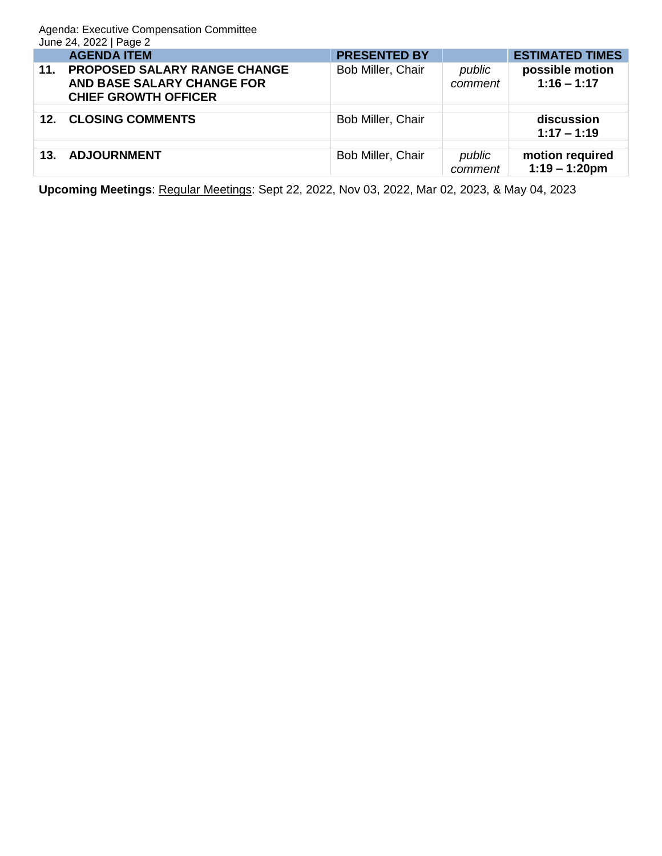Agenda: Executive Compensation Committee June 24, 2022 | Page 2

|                 | <b>AGENDA ITEM</b>                                                                               | <b>PRESENTED BY</b> |                   | <b>ESTIMATED TIMES</b>              |
|-----------------|--------------------------------------------------------------------------------------------------|---------------------|-------------------|-------------------------------------|
| 11.             | <b>PROPOSED SALARY RANGE CHANGE</b><br>AND BASE SALARY CHANGE FOR<br><b>CHIEF GROWTH OFFICER</b> | Bob Miller, Chair   | public<br>comment | possible motion<br>$1:16 - 1:17$    |
|                 |                                                                                                  |                     |                   |                                     |
| 12 <sub>1</sub> | <b>CLOSING COMMENTS</b>                                                                          | Bob Miller, Chair   |                   | discussion<br>$1:17 - 1:19$         |
|                 |                                                                                                  |                     |                   |                                     |
| 13.             | <b>ADJOURNMENT</b>                                                                               | Bob Miller, Chair   | public<br>comment | motion required<br>$1:19 - 1:20$ pm |

**Upcoming Meetings**: Regular Meetings: Sept 22, 2022, Nov 03, 2022, Mar 02, 2023, & May 04, 2023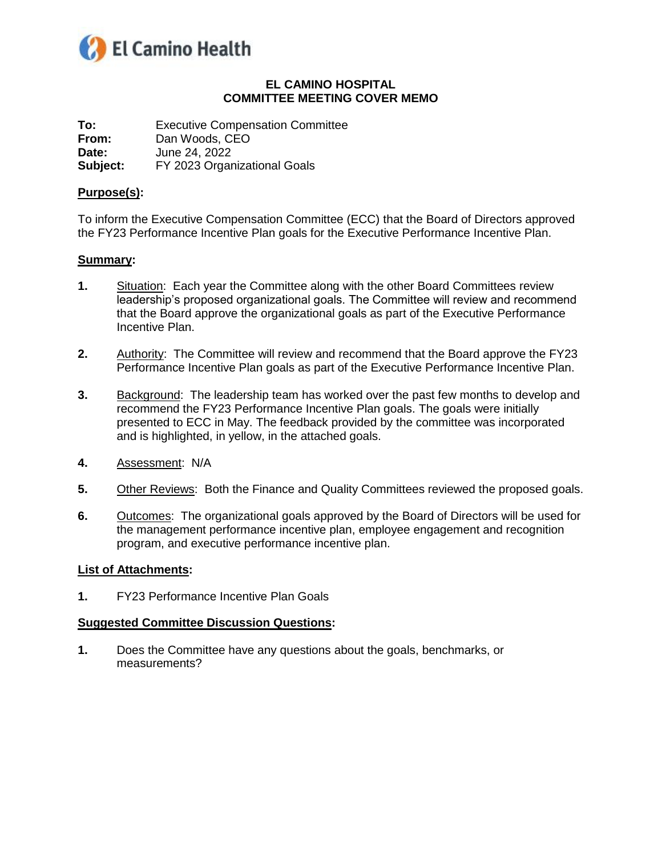<span id="page-2-0"></span>

# **EL CAMINO HOSPITAL COMMITTEE MEETING COVER MEMO**

**To:** Executive Compensation Committee **From:** Dan Woods, CEO **Date:** June 24, 2022 **Subject:** FY 2023 Organizational Goals

#### **Purpose(s):**

To inform the Executive Compensation Committee (ECC) that the Board of Directors approved the FY23 Performance Incentive Plan goals for the Executive Performance Incentive Plan.

## **Summary:**

- **1.** Situation: Each year the Committee along with the other Board Committees review leadership's proposed organizational goals. The Committee will review and recommend that the Board approve the organizational goals as part of the Executive Performance Incentive Plan.
- **2.** Authority: The Committee will review and recommend that the Board approve the FY23 Performance Incentive Plan goals as part of the Executive Performance Incentive Plan.
- **3.** Background: The leadership team has worked over the past few months to develop and recommend the FY23 Performance Incentive Plan goals. The goals were initially presented to ECC in May. The feedback provided by the committee was incorporated and is highlighted, in yellow, in the attached goals.
- **4.** Assessment: N/A
- **5.** Other Reviews: Both the Finance and Quality Committees reviewed the proposed goals.
- **6.** Outcomes: The organizational goals approved by the Board of Directors will be used for the management performance incentive plan, employee engagement and recognition program, and executive performance incentive plan.

#### **List of Attachments:**

**1.** FY23 Performance Incentive Plan Goals

#### **Suggested Committee Discussion Questions:**

**1.** Does the Committee have any questions about the goals, benchmarks, or measurements?